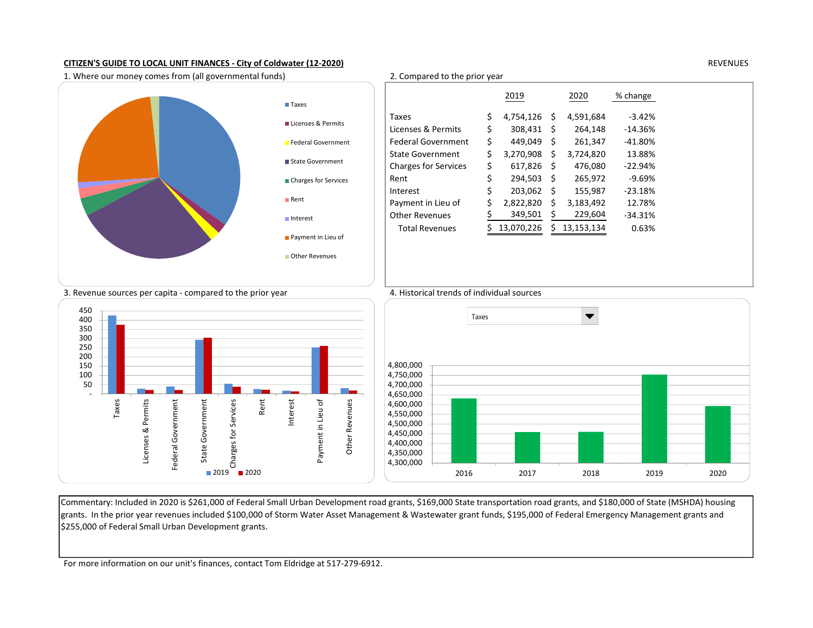# CITIZEN'S GUIDE TO LOCAL UNIT FINANCES - City of Coldwater (12-2020) REVENUES

1. Where our money comes from (all governmental funds) 2. Compared to the prior year



|                             |                             |     | 2019         |    | 2020         | % change   |
|-----------------------------|-----------------------------|-----|--------------|----|--------------|------------|
| Taxes                       |                             |     |              |    |              |            |
| Licenses & Permits          | Taxes                       | \$. | 4,754,126 \$ |    | 4,591,684    | $-3.42%$   |
|                             | Licenses & Permits          | \$  | 308,431 \$   |    | 264,148      | -14.36%    |
| Federal Government          | <b>Federal Government</b>   | \$  | 449,049 \$   |    | 261,347      | $-41.80\%$ |
| State Government            | <b>State Government</b>     | \$  | 3,270,908    | S. | 3,724,820    | 13.88%     |
|                             | <b>Charges for Services</b> | \$  | $617,826$ \$ |    | 476,080      | $-22.94%$  |
| <b>Charges for Services</b> | Rent                        | \$  | 294,503      | -S | 265,972      | $-9.69%$   |
| Rent                        | Interest                    | \$  | 203,062      | -S | 155,987      | $-23.18%$  |
|                             | Payment in Lieu of          | \$  | 2,822,820    | S  | 3,183,492    | 12.78%     |
| Interest                    | <b>Other Revenues</b>       |     | 349,501      | S  | 229,604      | $-34.31%$  |
|                             | <b>Total Revenues</b>       |     | 13,070,226   |    | \$13,153,134 | 0.63%      |
| Payment in Lieu of          |                             |     |              |    |              |            |
| <b>Other Revenues</b>       |                             |     |              |    |              |            |
|                             |                             |     |              |    |              |            |
|                             |                             |     |              |    |              |            |

## 3. Revenue sources per capita - compared to the prior year 4. Historical trends of individual sources





# Commentary: Included in 2020 is \$261,000 of Federal Small Urban Development road grants, \$169,000 State transportation road grants, and \$180,000 of State (MSHDA) housing grants. In the prior year revenues included \$100,000 of Storm Water Asset Management & Wastewater grant funds, \$195,000 of Federal Emergency Management grants and \$255,000 of Federal Small Urban Development grants.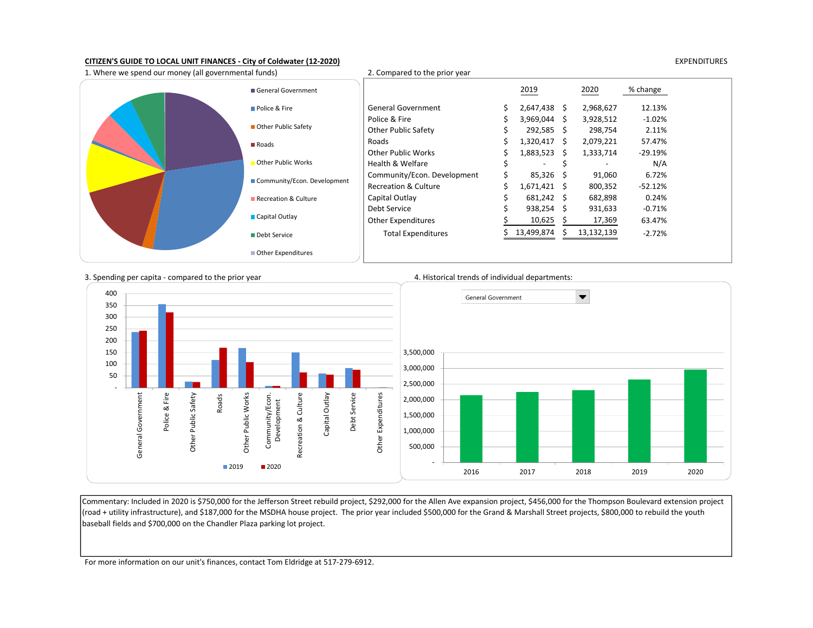## CITIZEN'S GUIDE TO LOCAL UNIT FINANCES - City of Coldwater (12-2020) EXPENDITURES



3. Spending per capita - compared to the prior year 4. Historical trends of individual departments:



Commentary: Included in 2020 is \$750,000 for the Jefferson Street rebuild project, \$292,000 for the Allen Ave expansion project, \$456,000 for the Thompson Boulevard extension project (road + utility infrastructure), and \$187,000 for the MSDHA house project. The prior year included \$500,000 for the Grand & Marshall Street projects, \$800,000 to rebuild the youth baseball fields and \$700,000 on the Chandler Plaza parking lot project.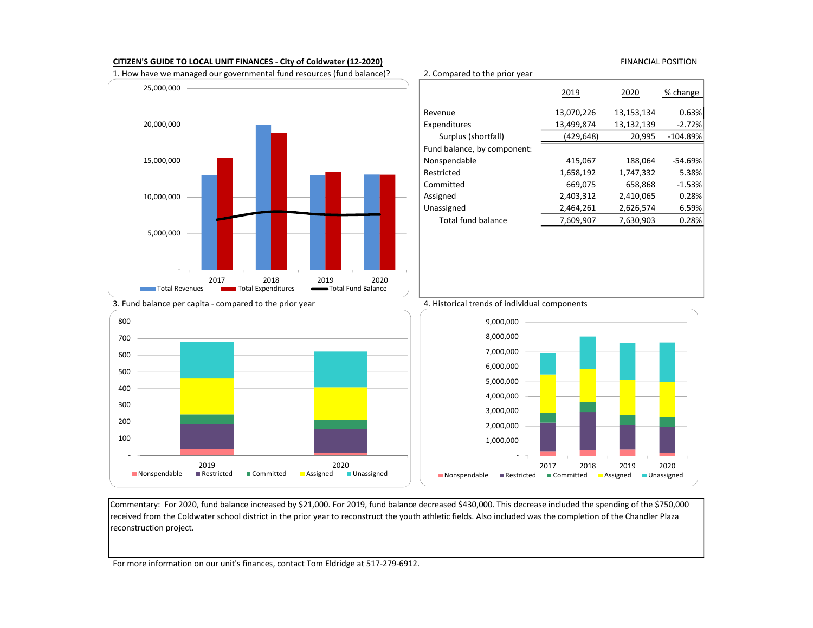## CITIZEN'S GUIDE TO LOCAL UNIT FINANCES - City of Coldwater (12-2020) CITIZEN'S GUIDE TO LOCAL POSITION

1. How have we managed our governmental fund resources (fund balance)? 2. Compared to the prior year



# 2019 2020 % change Revenue 13,070,226 13,153,134 0.63% Expenditures 13,499,874 13,132,139 -2.72% Surplus (shortfall) (429,648) 20,995 -104.89% Fund balance, by component: Nonspendable 415,067 188,064 -54.69% Restricted 1,658,192 1,747,332 5.38% Committed 669,075 658,868 -1.53% Assigned 2,403,312 2,410,065 0.28% Unassigned 2,464,261 2,626,574 6.59% Total fund balance 7,609,907 7,630,903 0.28%

## 3. Fund balance per capita - compared to the prior year 4. Historical trends of individual components







Commentary: For 2020, fund balance increased by \$21,000. For 2019, fund balance decreased \$430,000. This decrease included the spending of the \$750,000 received from the Coldwater school district in the prior year to reconstruct the youth athletic fields. Also included was the completion of the Chandler Plaza reconstruction project.